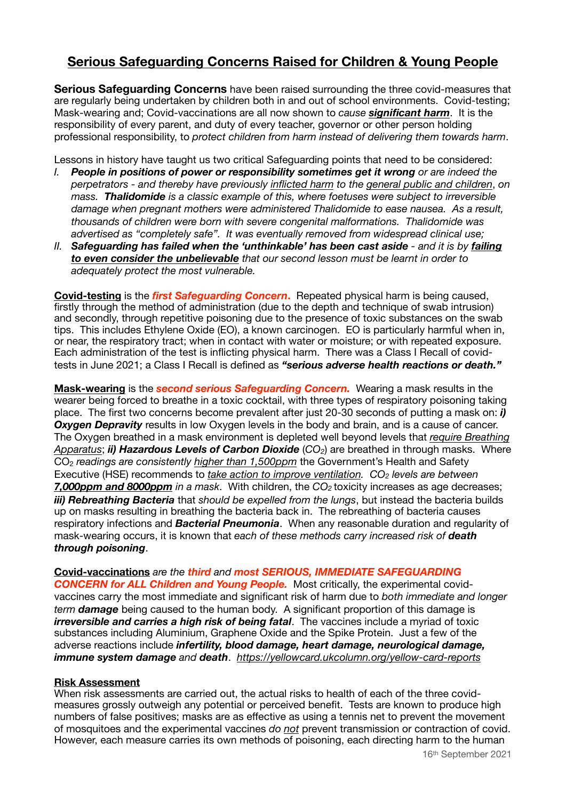# **Serious Safeguarding Concerns Raised for Children & Young People**

**Serious Safeguarding Concerns** have been raised surrounding the three covid-measures that are regularly being undertaken by children both in and out of school environments. Covid-testing; Mask-wearing and; Covid-vaccinations are all now shown to *cause significant harm*. It is the responsibility of every parent, and duty of every teacher, governor or other person holding professional responsibility, to *protect children from harm instead of delivering them towards harm*.

Lessons in history have taught us two critical Safeguarding points that need to be considered:

- *I. People in positions of power or responsibility sometimes get it wrong or are indeed the perpetrators - and thereby have previously inflicted harm to the general public and children*, *on mass. Thalidomide is a classic example of this, where foetuses were subject to irreversible damage when pregnant mothers were administered Thalidomide to ease nausea. As a result, thousands of children were born with severe congenital malformations. Thalidomide was advertised as "completely safe". It was eventually removed from widespread clinical use;*
- *II. Safeguarding has failed when the 'unthinkable' has been cast aside and it is by failing to even consider the unbelievable that our second lesson must be learnt in order to adequately protect the most vulnerable.*

**Covid-testing** is the *first Safeguarding Concern***.**Repeated physical harm is being caused, firstly through the method of administration (due to the depth and technique of swab intrusion) and secondly, through repetitive poisoning due to the presence of toxic substances on the swab tips. This includes Ethylene Oxide (EO), a known carcinogen. EO is particularly harmful when in, or near, the respiratory tract; when in contact with water or moisture; or with repeated exposure. Each administration of the test is inflicting physical harm. There was a Class I Recall of covidtests in June 2021; a Class I Recall is defined as *"serious adverse health reactions or death."* 

**Mask-wearing** is the *second serious Safeguarding Concern.* Wearing a mask results in the wearer being forced to breathe in a toxic cocktail, with three types of respiratory poisoning taking place. The first two concerns become prevalent after just 20-30 seconds of putting a mask on: *i)*  **Oxygen Depravity** results in low Oxygen levels in the body and brain, and is a cause of cancer. The Oxygen breathed in a mask environment is depleted well beyond levels that *require Breathing Apparatus*; *ii) Hazardous Levels of Carbon Dioxide* (*CO2*) are breathed in through masks. Where CO2 *readings are consistently higher than 1,500ppm* the Government's Health and Safety Executive (HSE) recommends to *take action to improve ventilation.* CO<sub>2</sub> levels are between *7,000ppm and 8000ppm in a mask*. With children, the *CO2* toxicity increases as age decreases; *iii) Rebreathing Bacteria* that *should be expelled from the lungs*, but instead the bacteria builds up on masks resulting in breathing the bacteria back in. The rebreathing of bacteria causes respiratory infections and *Bacterial Pneumonia*. When any reasonable duration and regularity of mask-wearing occurs, it is known that *each of these methods carry increased risk of death through poisoning*.

**Covid-vaccinations** *are the third and most SERIOUS, IMMEDIATE SAFEGUARDING CONCERN for ALL Children and Young People.* Most critically, the experimental covidvaccines carry the most immediate and significant risk of harm due to *both immediate and longer term damage* being caused to the human body. A significant proportion of this damage is *irreversible and carries a high risk of being fatal*. The vaccines include a myriad of toxic substances including Aluminium, Graphene Oxide and the Spike Protein. Just a few of the adverse reactions include *infertility, blood damage, heart damage, neurological damage, immune system damage and death*. *<https://yellowcard.ukcolumn.org/yellow-card-reports>*

## **Risk Assessment**

When risk assessments are carried out, the actual risks to health of each of the three covidmeasures grossly outweigh any potential or perceived benefit. Tests are known to produce high numbers of false positives; masks are as effective as using a tennis net to prevent the movement of mosquitoes and the experimental vaccines *do not* prevent transmission or contraction of covid. However, each measure carries its own methods of poisoning, each directing harm to the human